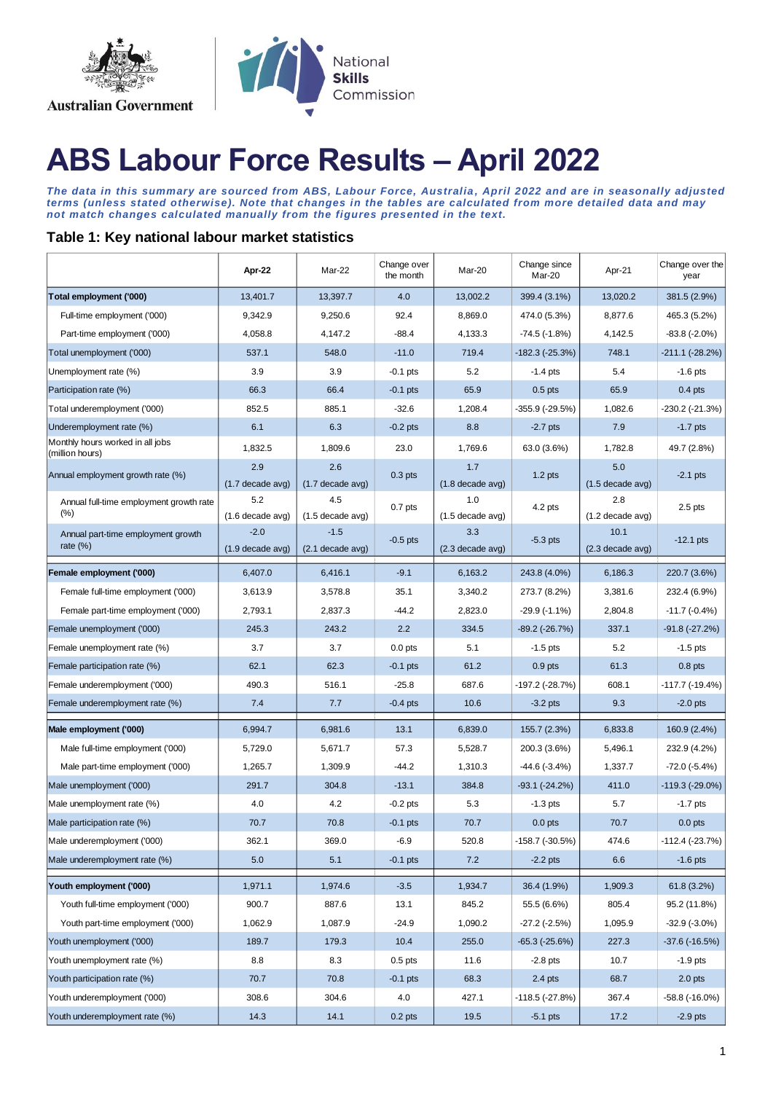

# **ABS Labour Force Results – April 2022**

*The data in this summary are sourced from ABS, Labour Force, Australia , April 2022 and are in seasonally adjusted terms (unless stated otherwise). Note that changes in the tables are calculated from more detailed data and may not match changes calculated manually from the figures presented in the text.*

**Table 1: Key national labour market statistics**

|                                                     | Apr-22                       | Mar-22                       | Change over<br>the month | Mar-20                    | Change since<br>Mar-20               | Apr-21                    | Change over the<br>year |
|-----------------------------------------------------|------------------------------|------------------------------|--------------------------|---------------------------|--------------------------------------|---------------------------|-------------------------|
| Total employment ('000)                             | 13,401.7                     | 13,397.7                     | 4.0                      | 13,002.2                  | 399.4 (3.1%)                         | 13.020.2                  | 381.5 (2.9%)            |
| Full-time employment ('000)                         | 9,342.9                      | 9,250.6                      | 92.4                     | 8,869.0                   | 474.0 (5.3%)                         | 8,877.6                   | 465.3 (5.2%)            |
| Part-time employment ('000)                         | 4,058.8                      | 4,147.2                      | $-88.4$                  | 4,133.3                   | $-74.5(-1.8%)$                       | 4,142.5                   | $-83.8(-2.0%)$          |
| Total unemployment ('000)                           | 537.1                        | 548.0                        | $-11.0$                  | 719.4                     | $-182.3(-25.3%)$                     | 748.1                     | $-211.1(-28.2%)$        |
| Unemployment rate (%)                               | 3.9                          | 3.9                          | $-0.1$ pts               | 5.2                       | $-1.4$ pts                           | 5.4                       | $-1.6$ pts              |
| Participation rate (%)                              | 66.3                         | 66.4                         | $-0.1$ pts               | 65.9                      | $0.5$ pts                            | 65.9                      | $0.4$ pts               |
| Total underemployment ('000)                        | 852.5                        | 885.1                        | $-32.6$                  | 1,208.4                   | -355.9 (-29.5%)                      | 1,082.6                   | -230.2 (-21.3%)         |
| Underemployment rate (%)                            | 6.1                          | 6.3                          | $-0.2$ pts               | 8.8                       | $-2.7$ pts                           | 7.9                       | $-1.7$ pts              |
| Monthly hours worked in all jobs<br>(million hours) | 1,832.5                      | 1,809.6                      | 23.0                     | 1,769.6                   | 63.0 (3.6%)                          | 1,782.8                   | 49.7 (2.8%)             |
| Annual employment growth rate (%)                   | 2.9<br>$(1.7$ decade avg)    | 2.6<br>$(1.7$ decade avg)    | 0.3 <sub>pts</sub>       | 1.7<br>$(1.8$ decade avg) | $1.2$ pts                            | 5.0<br>$(1.5$ decade avg) |                         |
| Annual full-time employment growth rate<br>(%)      | 5.2<br>$(1.6$ decade avg)    | 4.5<br>$(1.5$ decade avg)    | 0.7 <sub>pts</sub>       | 1.0<br>(1.5 decade avg)   | 2.8<br>4.2 pts<br>$(1.2$ decade avg) |                           | $2.5$ pts               |
| Annual part-time employment growth<br>rate $(\%)$   | $-2.0$<br>$(1.9$ decade avg) | $-1.5$<br>$(2.1$ decade avg) | $-0.5$ pts               | 3.3<br>$(2.3$ decade avg) | $-5.3$ pts                           | 10.1<br>(2.3 decade avg)  | $-12.1$ pts             |
| Female employment ('000)                            | 6,407.0                      | 6,416.1                      | $-9.1$                   | 6,163.2                   | 243.8 (4.0%)                         | 6,186.3                   | 220.7 (3.6%)            |
| Female full-time employment ('000)                  | 3,613.9                      | 3,578.8                      | 35.1                     | 3,340.2                   | 273.7 (8.2%)                         | 3,381.6                   | 232.4 (6.9%)            |
| Female part-time employment ('000)                  | 2,793.1                      | 2,837.3                      | $-44.2$                  | 2,823.0                   | $-29.9(-1.1\%)$                      | 2,804.8                   | $-11.7(-0.4%)$          |
| Female unemployment ('000)                          | 245.3                        | 243.2                        | 2.2                      | 334.5                     | $-89.2$ $(-26.7%)$                   | 337.1                     | $-91.8(-27.2%)$         |
| Female unemployment rate (%)                        | 3.7                          | 3.7                          | $0.0$ pts                | 5.1                       | $-1.5$ pts                           | 5.2                       | $-1.5$ pts              |
| Female participation rate (%)                       | 62.1                         | 62.3                         | $-0.1$ pts               | 61.2                      | 0.9 <sub>pts</sub>                   | 61.3                      | $0.8$ pts               |
| Female underemployment ('000)                       | 490.3                        | 516.1                        | $-25.8$                  | 687.6                     | -197.2 (-28.7%)                      | 608.1                     | $-117.7(-19.4%)$        |
| Female underemployment rate (%)                     | 7.4                          | 7.7                          | $-0.4$ pts               | 10.6                      | $-3.2$ pts                           | 9.3                       | $-2.0$ pts              |
| Male employment ('000)                              | 6,994.7                      | 6,981.6                      | 13.1                     | 6,839.0                   | 155.7 (2.3%)                         | 6,833.8                   | 160.9 (2.4%)            |
| Male full-time employment ('000)                    | 5,729.0                      | 5,671.7                      | 57.3                     | 5,528.7                   | 200.3 (3.6%)                         | 5,496.1                   | 232.9 (4.2%)            |
| Male part-time employment ('000)                    | 1.265.7                      | 1,309.9                      | $-44.2$                  | 1,310.3                   | $-44.6(-3.4%)$                       | 1,337.7                   | $-72.0$ ( $-5.4\%$ )    |
| Male unemployment ('000)                            | 291.7                        | 304.8                        | $-13.1$                  | 384.8                     | $-93.1 (-24.2%)$                     | 411.0                     | $-119.3(-29.0%)$        |
| Male unemployment rate (%)                          | 4.0                          | 4.2                          | $-0.2$ pts               | 5.3                       | $-1.3$ pts                           | 5.7                       | $-1.7$ pts              |
| Male participation rate (%)                         | 70.7                         | 70.8                         | $-0.1$ pts               | 70.7                      | $0.0$ pts                            | 70.7                      | $0.0$ pts               |
| Male underemployment ('000)                         | 362.1                        | 369.0                        | -6.9                     | 520.8                     | -158.7 (-30.5%)                      | 474.6                     | $-112.4(-23.7%)$        |
| Male underemployment rate (%)                       | 5.0                          | 5.1                          | $-0.1$ pts               | 7.2                       | $-2.2$ pts                           | 6.6                       | $-1.6$ pts              |
| Youth employment ('000)                             | 1,971.1                      | 1,974.6                      | $-3.5$                   | 1,934.7                   | 36.4 (1.9%)                          | 1,909.3                   | 61.8 (3.2%)             |
| Youth full-time employment ('000)                   | 900.7                        | 887.6                        | 13.1                     | 845.2                     | 55.5 (6.6%)                          | 805.4                     | 95.2 (11.8%)            |
| Youth part-time employment ('000)                   | 1,062.9                      | 1,087.9                      | $-24.9$                  | 1,090.2                   | $-27.2(-2.5%)$                       | 1,095.9                   | $-32.9(-3.0\%)$         |
| Youth unemployment ('000)                           | 189.7                        | 179.3                        | 10.4                     | 255.0                     | $-65.3$ $(-25.6%)$                   | 227.3                     | $-37.6(-16.5%)$         |
| Youth unemployment rate (%)                         | 8.8                          | 8.3                          | $0.5$ pts                | 11.6                      | $-2.8$ pts                           | 10.7                      | $-1.9$ pts              |
| Youth participation rate (%)                        | 70.7                         | 70.8                         | $-0.1$ pts               | 68.3                      | $2.4$ pts                            | 68.7                      | $2.0$ pts               |
| Youth underemployment ('000)                        | 308.6                        | 304.6                        | 4.0                      | 427.1                     | $-118.5(-27.8%)$                     | 367.4                     | $-58.8$ ( $-16.0\%$ )   |
| Youth underemployment rate (%)                      | 14.3                         | 14.1                         | $0.2$ pts                | 19.5                      | $-5.1$ pts                           | 17.2                      | $-2.9$ pts              |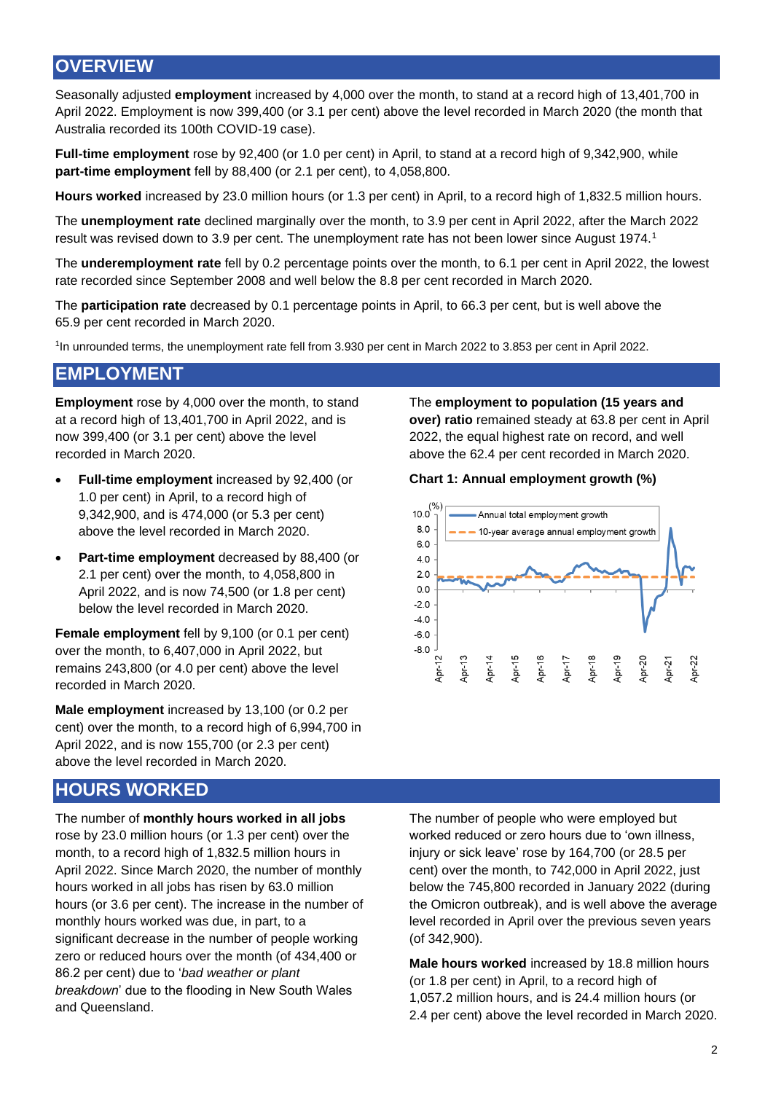# **OVERVIEW**

Seasonally adjusted **employment** increased by 4,000 over the month, to stand at a record high of 13,401,700 in April 2022. Employment is now 399,400 (or 3.1 per cent) above the level recorded in March 2020 (the month that Australia recorded its 100th COVID-19 case).

**Full-time employment** rose by 92,400 (or 1.0 per cent) in April, to stand at a record high of 9,342,900, while **part-time employment** fell by 88,400 (or 2.1 per cent), to 4,058,800.

**Hours worked** increased by 23.0 million hours (or 1.3 per cent) in April, to a record high of 1,832.5 million hours.

The **unemployment rate** declined marginally over the month, to 3.9 per cent in April 2022, after the March 2022 result was revised down to 3.9 per cent. The unemployment rate has not been lower since August 1974.<sup>1</sup>

The **underemployment rate** fell by 0.2 percentage points over the month, to 6.1 per cent in April 2022, the lowest rate recorded since September 2008 and well below the 8.8 per cent recorded in March 2020.

The **participation rate** decreased by 0.1 percentage points in April, to 66.3 per cent, but is well above the 65.9 per cent recorded in March 2020.

1 In unrounded terms, the unemployment rate fell from 3.930 per cent in March 2022 to 3.853 per cent in April 2022.

## **EMPLOYMENT**

**Employment** rose by 4,000 over the month, to stand at a record high of 13,401,700 in April 2022, and is now 399,400 (or 3.1 per cent) above the level recorded in March 2020.

- **Full-time employment** increased by 92,400 (or 1.0 per cent) in April, to a record high of 9,342,900, and is 474,000 (or 5.3 per cent) above the level recorded in March 2020.
- **Part-time employment** decreased by 88,400 (or 2.1 per cent) over the month, to 4,058,800 in April 2022, and is now 74,500 (or 1.8 per cent) below the level recorded in March 2020.

**Female employment** fell by 9,100 (or 0.1 per cent) over the month, to 6,407,000 in April 2022, but remains 243,800 (or 4.0 per cent) above the level recorded in March 2020.

**Male employment** increased by 13,100 (or 0.2 per cent) over the month, to a record high of 6,994,700 in April 2022, and is now 155,700 (or 2.3 per cent) above the level recorded in March 2020.

## **HOURS WORKED**

The number of **monthly hours worked in all jobs** rose by 23.0 million hours (or 1.3 per cent) over the month, to a record high of 1,832.5 million hours in April 2022. Since March 2020, the number of monthly hours worked in all jobs has risen by 63.0 million hours (or 3.6 per cent). The increase in the number of monthly hours worked was due, in part, to a significant decrease in the number of people working zero or reduced hours over the month (of 434,400 or 86.2 per cent) due to '*bad weather or plant breakdown*' due to the flooding in New South Wales and Queensland.

The **employment to population (15 years and over) ratio** remained steady at 63.8 per cent in April 2022, the equal highest rate on record, and well above the 62.4 per cent recorded in March 2020.

#### **Chart 1: Annual employment growth (%)**



The number of people who were employed but worked reduced or zero hours due to 'own illness, injury or sick leave' rose by 164,700 (or 28.5 per cent) over the month, to 742,000 in April 2022, just below the 745,800 recorded in January 2022 (during the Omicron outbreak), and is well above the average level recorded in April over the previous seven years (of 342,900).

**Male hours worked** increased by 18.8 million hours (or 1.8 per cent) in April, to a record high of 1,057.2 million hours, and is 24.4 million hours (or 2.4 per cent) above the level recorded in March 2020.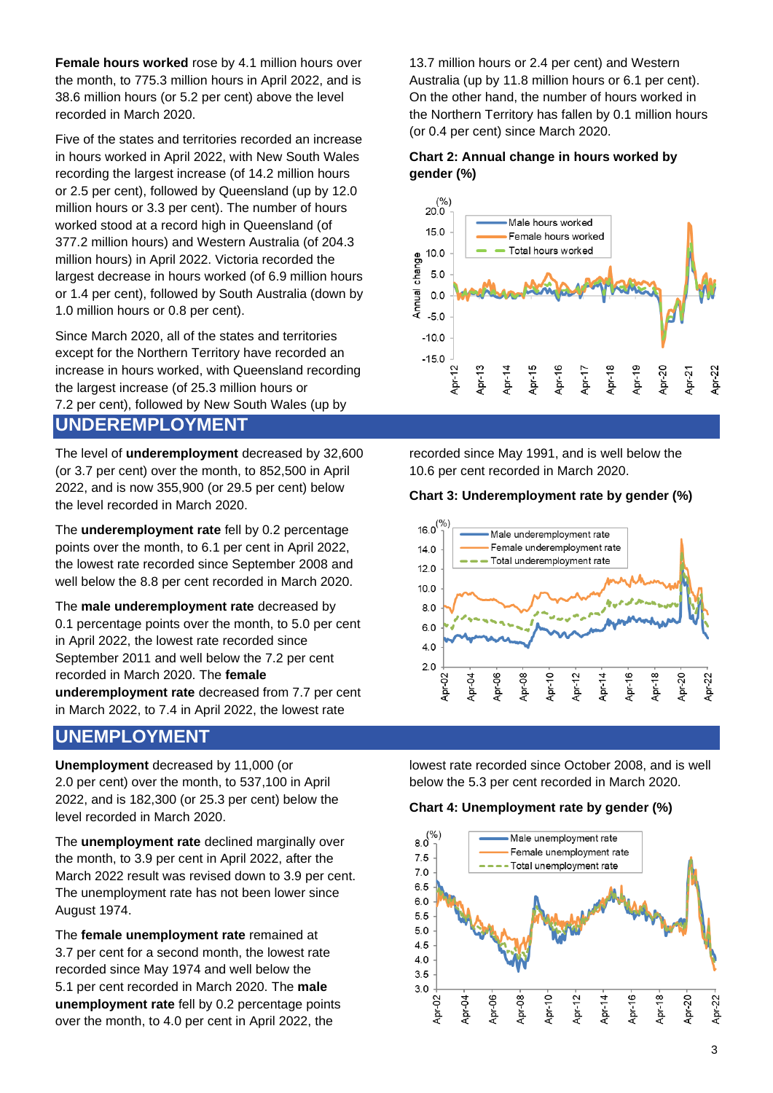**Female hours worked** rose by 4.1 million hours over the month, to 775.3 million hours in April 2022, and is 38.6 million hours (or 5.2 per cent) above the level recorded in March 2020.

Five of the states and territories recorded an increase in hours worked in April 2022, with New South Wales recording the largest increase (of 14.2 million hours or 2.5 per cent), followed by Queensland (up by 12.0 million hours or 3.3 per cent). The number of hours worked stood at a record high in Queensland (of 377.2 million hours) and Western Australia (of 204.3 million hours) in April 2022. Victoria recorded the largest decrease in hours worked (of 6.9 million hours or 1.4 per cent), followed by South Australia (down by 1.0 million hours or 0.8 per cent).

Since March 2020, all of the states and territories except for the Northern Territory have recorded an increase in hours worked, with Queensland recording the largest increase (of 25.3 million hours or 7.2 per cent), followed by New South Wales (up by

## **UNDEREMPLOYMENT**

The level of **underemployment** decreased by 32,600 (or 3.7 per cent) over the month, to 852,500 in April 2022, and is now 355,900 (or 29.5 per cent) below the level recorded in March 2020.

The **underemployment rate** fell by 0.2 percentage points over the month, to 6.1 per cent in April 2022, the lowest rate recorded since September 2008 and well below the 8.8 per cent recorded in March 2020.

The **male underemployment rate** decreased by 0.1 percentage points over the month, to 5.0 per cent in April 2022, the lowest rate recorded since September 2011 and well below the 7.2 per cent recorded in March 2020. The **female underemployment rate** decreased from 7.7 per cent in March 2022, to 7.4 in April 2022, the lowest rate

## **UNEMPLOYMENT**

**Unemployment** decreased by 11,000 (or 2.0 per cent) over the month, to 537,100 in April 2022, and is 182,300 (or 25.3 per cent) below the level recorded in March 2020.

The **unemployment rate** declined marginally over the month, to 3.9 per cent in April 2022, after the March 2022 result was revised down to 3.9 per cent. The unemployment rate has not been lower since August 1974.

The **female unemployment rate** remained at 3.7 per cent for a second month, the lowest rate recorded since May 1974 and well below the 5.1 per cent recorded in March 2020. The **male unemployment rate** fell by 0.2 percentage points over the month, to 4.0 per cent in April 2022, the

13.7 million hours or 2.4 per cent) and Western Australia (up by 11.8 million hours or 6.1 per cent). On the other hand, the number of hours worked in the Northern Territory has fallen by 0.1 million hours (or 0.4 per cent) since March 2020.





recorded since May 1991, and is well below the 10.6 per cent recorded in March 2020.

#### **Chart 3: Underemployment rate by gender (%)**



lowest rate recorded since October 2008, and is well below the 5.3 per cent recorded in March 2020.

#### **Chart 4: Unemployment rate by gender (%)**

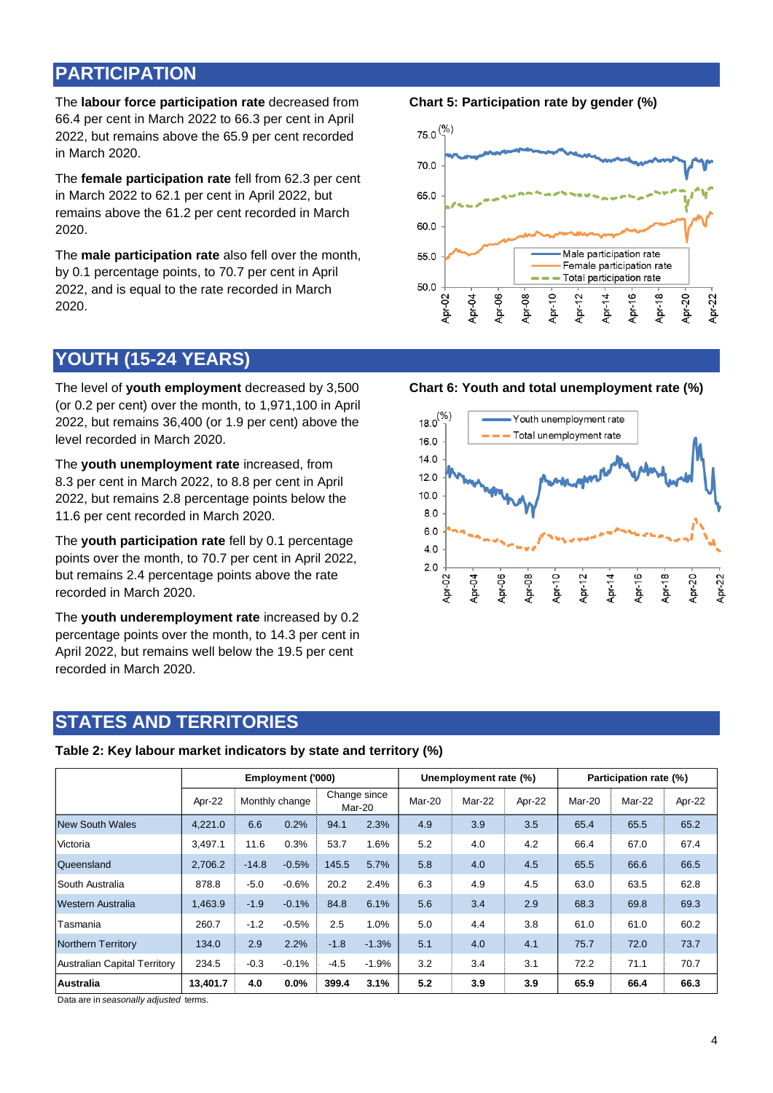# **PARTICIPATION**

The **labour force participation rate** decreased from 66.4 per cent in March 2022 to 66.3 per cent in April 2022, but remains above the 65.9 per cent recorded in March 2020.

The **female participation rate** fell from 62.3 per cent in March 2022 to 62.1 per cent in April 2022, but remains above the 61.2 per cent recorded in March 2020.

The **male participation rate** also fell over the month, by 0.1 percentage points, to 70.7 per cent in April 2022, and is equal to the rate recorded in March 2020.

# **YOUTH (15-24 YEARS)**

The level of **youth employment** decreased by 3,500 (or 0.2 per cent) over the month, to 1,971,100 in April 2022, but remains 36,400 (or 1.9 per cent) above the level recorded in March 2020.

The **youth unemployment rate** increased, from 8.3 per cent in March 2022, to 8.8 per cent in April 2022, but remains 2.8 percentage points below the 11.6 per cent recorded in March 2020.

The **youth participation rate** fell by 0.1 percentage points over the month, to 70.7 per cent in April 2022, but remains 2.4 percentage points above the rate recorded in March 2020.

The **youth underemployment rate** increased by 0.2 percentage points over the month, to 14.3 per cent in April 2022, but remains well below the 19.5 per cent recorded in March 2020.

## **STATES AND TERRITORIES**

**Table 2: Key labour market indicators by state and territory (%)**

| Employment ('000)                   |          |         |                |                        |         | Unemployment rate (%) |        |        | Participation rate (%) |        |        |
|-------------------------------------|----------|---------|----------------|------------------------|---------|-----------------------|--------|--------|------------------------|--------|--------|
|                                     | Apr-22   |         | Monthly change | Change since<br>Mar-20 |         | Mar-20                | Mar-22 | Apr-22 | Mar-20                 | Mar-22 | Apr-22 |
| <b>New South Wales</b>              | 4,221.0  | 6.6     | 0.2%           | 94.1                   | 2.3%    | 4.9                   | 3.9    | 3.5    | 65.4                   | 65.5   | 65.2   |
| Victoria                            | 3,497.1  | 11.6    | 0.3%           | 53.7                   | 1.6%    | 5.2                   | 4.0    | 4.2    | 66.4                   | 67.0   | 67.4   |
| Queensland                          | 2,706.2  | $-14.8$ | $-0.5%$        | 145.5                  | 5.7%    | 5.8                   | 4.0    | 4.5    | 65.5                   | 66.6   | 66.5   |
| South Australia                     | 878.8    | $-5.0$  | $-0.6%$        | 20.2                   | 2.4%    | 6.3                   | 4.9    | 4.5    | 63.0                   | 63.5   | 62.8   |
| Western Australia                   | 1,463.9  | $-1.9$  | $-0.1%$        | 84.8                   | 6.1%    | 5.6                   | 3.4    | 2.9    | 68.3                   | 69.8   | 69.3   |
| Tasmania                            | 260.7    | $-1.2$  | $-0.5%$        | 2.5                    | 1.0%    | 5.0                   | 4.4    | 3.8    | 61.0                   | 61.0   | 60.2   |
| <b>Northern Territory</b>           | 134.0    | 2.9     | 2.2%           | $-1.8$                 | $-1.3%$ | 5.1                   | 4.0    | 4.1    | 75.7                   | 72.0   | 73.7   |
| <b>Australian Capital Territory</b> | 234.5    | $-0.3$  | $-0.1%$        | $-4.5$                 | $-1.9%$ | 3.2                   | 3.4    | 3.1    | 72.2                   | 71.1   | 70.7   |
| <b>Australia</b>                    | 13,401.7 | 4.0     | 0.0%           | 399.4                  | 3.1%    | 5.2                   | 3.9    | 3.9    | 65.9                   | 66.4   | 66.3   |

Data are in *seasonally adjusted* terms.

**Chart 5: Participation rate by gender (%)**



**Chart 6: Youth and total unemployment rate (%)**